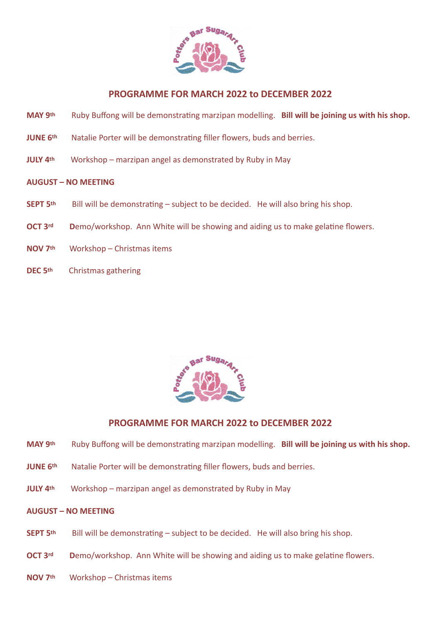

## **PROGRAMME FOR MARCH 2022 to DECEMBER 2022**

- **MAY 9th** Ruby Buffong will be demonstrating marzipan modelling. **Bill will be joining us with his shop.**
- **JUNE 6<sup>th</sup>** Natalie Porter will be demonstrating filler flowers, buds and berries.
- **JULY 4th** Workshop marzipan angel as demonstrated by Ruby in May

### **AUGUST – NO MEETING**

- **SEPT 5<sup>th</sup>** Bill will be demonstrating subject to be decided. He will also bring his shop.
- **OCT 3<sup>rd</sup>** Demo/workshop. Ann White will be showing and aiding us to make gelatine flowers.
- **NOV 7th** Workshop Christmas items
- **DEC 5th** Christmas gathering



# **PROGRAMME FOR MARCH 2022 to DECEMBER 2022**

- **MAY 9th** Ruby Buffong will be demonstrating marzipan modelling. **Bill will be joining us with his shop.**
- **JUNE 6th** Natalie Porter will be demonstrating filler flowers, buds and berries.
- **JULY 4th** Workshop marzipan angel as demonstrated by Ruby in May

#### **AUGUST – NO MEETING**

- **SEPT 5<sup>th</sup>** Bill will be demonstrating subject to be decided. He will also bring his shop.
- **OCT 3<sup>rd</sup>** Demo/workshop. Ann White will be showing and aiding us to make gelatine flowers.
- **NOV 7th** Workshop Christmas items